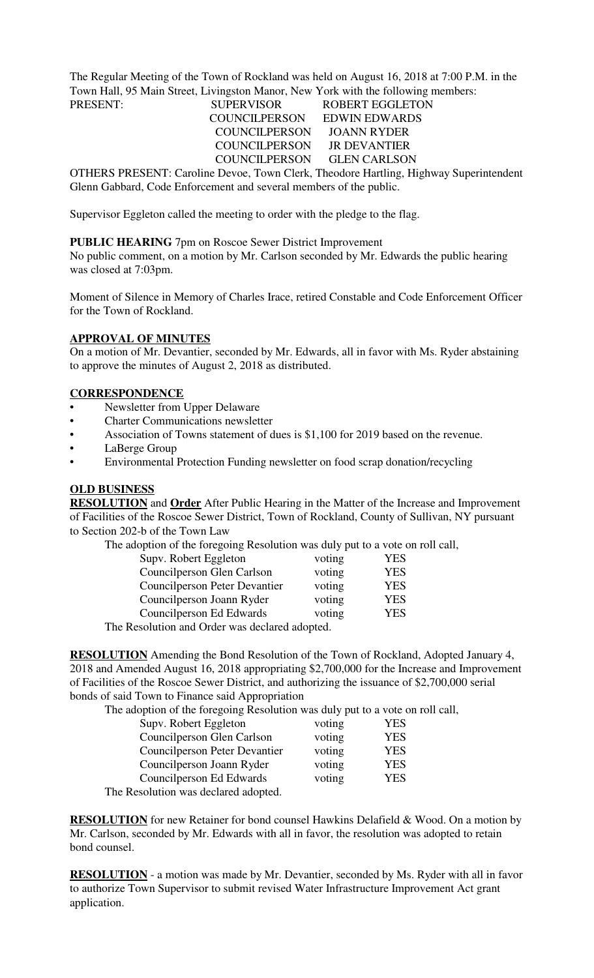The Regular Meeting of the Town of Rockland was held on August 16, 2018 at 7:00 P.M. in the Town Hall, 95 Main Street, Livingston Manor, New York with the following members: PRESENT: SUPERVISOR ROBERT EGGLETON

 COUNCILPERSON EDWIN EDWARDS COUNCILPERSON JOANN RYDER COUNCILPERSON JR DEVANTIER COUNCILPERSON GLEN CARLSON

OTHERS PRESENT: Caroline Devoe, Town Clerk, Theodore Hartling, Highway Superintendent Glenn Gabbard, Code Enforcement and several members of the public.

Supervisor Eggleton called the meeting to order with the pledge to the flag.

## **PUBLIC HEARING** 7pm on Roscoe Sewer District Improvement

No public comment, on a motion by Mr. Carlson seconded by Mr. Edwards the public hearing was closed at 7:03pm.

Moment of Silence in Memory of Charles Irace, retired Constable and Code Enforcement Officer for the Town of Rockland.

#### **APPROVAL OF MINUTES**

On a motion of Mr. Devantier, seconded by Mr. Edwards, all in favor with Ms. Ryder abstaining to approve the minutes of August 2, 2018 as distributed.

#### **CORRESPONDENCE**

- Newsletter from Upper Delaware
- Charter Communications newsletter
- Association of Towns statement of dues is \$1,100 for 2019 based on the revenue.
- LaBerge Group
- Environmental Protection Funding newsletter on food scrap donation/recycling

## **OLD BUSINESS**

**RESOLUTION** and **Order** After Public Hearing in the Matter of the Increase and Improvement of Facilities of the Roscoe Sewer District, Town of Rockland, County of Sullivan, NY pursuant to Section 202-b of the Town Law

The adoption of the foregoing Resolution was duly put to a vote on roll call,

| Supv. Robert Eggleton                          | voting | YES |  |  |
|------------------------------------------------|--------|-----|--|--|
| Councilperson Glen Carlson                     | voting | YES |  |  |
| <b>Councilperson Peter Devantier</b>           | voting | YES |  |  |
| Councilperson Joann Ryder                      | voting | YES |  |  |
| Councilperson Ed Edwards                       | voting | YES |  |  |
| The Resolution and Order was declared adopted. |        |     |  |  |

**RESOLUTION** Amending the Bond Resolution of the Town of Rockland, Adopted January 4, 2018 and Amended August 16, 2018 appropriating \$2,700,000 for the Increase and Improvement of Facilities of the Roscoe Sewer District, and authorizing the issuance of \$2,700,000 serial bonds of said Town to Finance said Appropriation

The adoption of the foregoing Resolution was duly put to a vote on roll call,

| Supv. Robert Eggleton              | voting | <b>YES</b> |
|------------------------------------|--------|------------|
| Councilperson Glen Carlson         | voting | YES        |
| Councilperson Peter Devantier      | voting | <b>YES</b> |
| Councilperson Joann Ryder          | voting | YES        |
| Councilperson Ed Edwards           | voting | YES        |
| be Resolution was declared adopted |        |            |

The Resolution was declared adopted.

**RESOLUTION** for new Retainer for bond counsel Hawkins Delafield & Wood. On a motion by Mr. Carlson, seconded by Mr. Edwards with all in favor, the resolution was adopted to retain bond counsel.

**RESOLUTION** - a motion was made by Mr. Devantier, seconded by Ms. Ryder with all in favor to authorize Town Supervisor to submit revised Water Infrastructure Improvement Act grant application.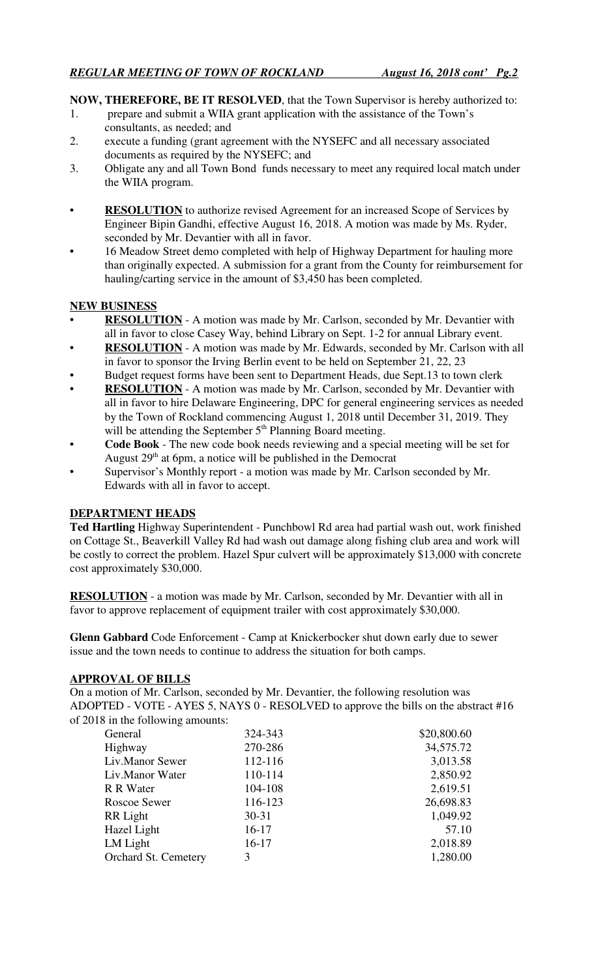**NOW, THEREFORE, BE IT RESOLVED**, that the Town Supervisor is hereby authorized to:

- 1. prepare and submit a WIIA grant application with the assistance of the Town's consultants, as needed; and
- 2. execute a funding (grant agreement with the NYSEFC and all necessary associated documents as required by the NYSEFC; and
- 3. Obligate any and all Town Bond funds necessary to meet any required local match under the WIIA program.
- **RESOLUTION** to authorize revised Agreement for an increased Scope of Services by Engineer Bipin Gandhi, effective August 16, 2018. A motion was made by Ms. Ryder, seconded by Mr. Devantier with all in favor.
- 16 Meadow Street demo completed with help of Highway Department for hauling more than originally expected. A submission for a grant from the County for reimbursement for hauling/carting service in the amount of \$3,450 has been completed.

# **NEW BUSINESS**

- **RESOLUTION** A motion was made by Mr. Carlson, seconded by Mr. Devantier with all in favor to close Casey Way, behind Library on Sept. 1-2 for annual Library event.
- **RESOLUTION** A motion was made by Mr. Edwards, seconded by Mr. Carlson with all in favor to sponsor the Irving Berlin event to be held on September 21, 22, 23
- Budget request forms have been sent to Department Heads, due Sept.13 to town clerk
- **RESOLUTION** A motion was made by Mr. Carlson, seconded by Mr. Devantier with all in favor to hire Delaware Engineering, DPC for general engineering services as needed by the Town of Rockland commencing August 1, 2018 until December 31, 2019. They will be attending the September 5<sup>th</sup> Planning Board meeting.
- **Code Book** The new code book needs reviewing and a special meeting will be set for August  $29<sup>th</sup>$  at 6pm, a notice will be published in the Democrat
- Supervisor's Monthly report a motion was made by Mr. Carlson seconded by Mr. Edwards with all in favor to accept.

# **DEPARTMENT HEADS**

**Ted Hartling** Highway Superintendent - Punchbowl Rd area had partial wash out, work finished on Cottage St., Beaverkill Valley Rd had wash out damage along fishing club area and work will be costly to correct the problem. Hazel Spur culvert will be approximately \$13,000 with concrete cost approximately \$30,000.

**RESOLUTION** - a motion was made by Mr. Carlson, seconded by Mr. Devantier with all in favor to approve replacement of equipment trailer with cost approximately \$30,000.

**Glenn Gabbard** Code Enforcement - Camp at Knickerbocker shut down early due to sewer issue and the town needs to continue to address the situation for both camps.

# **APPROVAL OF BILLS**

On a motion of Mr. Carlson, seconded by Mr. Devantier, the following resolution was ADOPTED - VOTE - AYES 5, NAYS 0 - RESOLVED to approve the bills on the abstract #16 of 2018 in the following amounts:

| General              | 324-343   | \$20,800.60 |
|----------------------|-----------|-------------|
| Highway              | 270-286   | 34,575.72   |
| Liv.Manor Sewer      | 112-116   | 3,013.58    |
| Liv.Manor Water      | 110-114   | 2,850.92    |
| R R Water            | 104-108   | 2,619.51    |
| <b>Roscoe Sewer</b>  | 116-123   | 26,698.83   |
| RR Light             | $30 - 31$ | 1,049.92    |
| Hazel Light          | 16-17     | 57.10       |
| LM Light             | $16-17$   | 2,018.89    |
| Orchard St. Cemetery | 3         | 1,280.00    |
|                      |           |             |